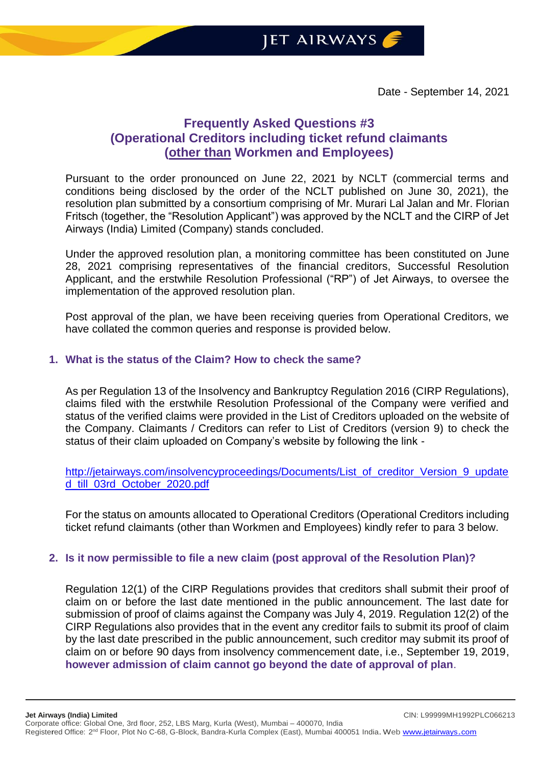# **Frequently Asked Questions #3 (Operational Creditors including ticket refund claimants (other than Workmen and Employees)**

Pursuant to the order pronounced on June 22, 2021 by NCLT (commercial terms and conditions being disclosed by the order of the NCLT published on June 30, 2021), the resolution plan submitted by a consortium comprising of Mr. Murari Lal Jalan and Mr. Florian Fritsch (together, the "Resolution Applicant") was approved by the NCLT and the CIRP of Jet Airways (India) Limited (Company) stands concluded.

Under the approved resolution plan, a monitoring committee has been constituted on June 28, 2021 comprising representatives of the financial creditors, Successful Resolution Applicant, and the erstwhile Resolution Professional ("RP") of Jet Airways, to oversee the implementation of the approved resolution plan.

Post approval of the plan, we have been receiving queries from Operational Creditors, we have collated the common queries and response is provided below.

#### **1. What is the status of the Claim? How to check the same?**

As per Regulation 13 of the Insolvency and Bankruptcy Regulation 2016 (CIRP Regulations), claims filed with the erstwhile Resolution Professional of the Company were verified and status of the verified claims were provided in the List of Creditors uploaded on the website of the Company. Claimants / Creditors can refer to List of Creditors (version 9) to check the status of their claim uploaded on Company's website by following the link -

[http://jetairways.com/insolvencyproceedings/Documents/List\\_of\\_creditor\\_Version\\_9\\_update](http://jetairways.com/insolvencyproceedings/Documents/List_of_creditor_Version_9_updated_till_03rd_October_2020.pdf) [d\\_till\\_03rd\\_October\\_2020.pdf](http://jetairways.com/insolvencyproceedings/Documents/List_of_creditor_Version_9_updated_till_03rd_October_2020.pdf)

For the status on amounts allocated to Operational Creditors (Operational Creditors including ticket refund claimants (other than Workmen and Employees) kindly refer to para 3 below.

#### **2. Is it now permissible to file a new claim (post approval of the Resolution Plan)?**

Regulation 12(1) of the CIRP Regulations provides that creditors shall submit their proof of claim on or before the last date mentioned in the public announcement. The last date for submission of proof of claims against the Company was July 4, 2019. Regulation 12(2) of the CIRP Regulations also provides that in the event any creditor fails to submit its proof of claim by the last date prescribed in the public announcement, such creditor may submit its proof of claim on or before 90 days from insolvency commencement date, i.e., September 19, 2019, **however admission of claim cannot go beyond the date of approval of plan**.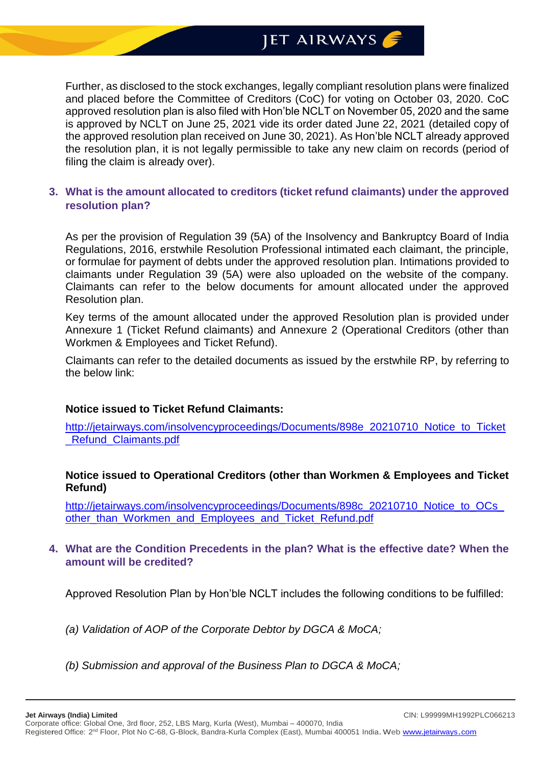# JET AIRWAYS

Further, as disclosed to the stock exchanges, legally compliant resolution plans were finalized and placed before the Committee of Creditors (CoC) for voting on October 03, 2020. CoC approved resolution plan is also filed with Hon'ble NCLT on November 05, 2020 and the same is approved by NCLT on June 25, 2021 vide its order dated June 22, 2021 (detailed copy of the approved resolution plan received on June 30, 2021). As Hon'ble NCLT already approved the resolution plan, it is not legally permissible to take any new claim on records (period of filing the claim is already over).

#### **3. What is the amount allocated to creditors (ticket refund claimants) under the approved resolution plan?**

As per the provision of Regulation 39 (5A) of the Insolvency and Bankruptcy Board of India Regulations, 2016, erstwhile Resolution Professional intimated each claimant, the principle, or formulae for payment of debts under the approved resolution plan. Intimations provided to claimants under Regulation 39 (5A) were also uploaded on the website of the company. Claimants can refer to the below documents for amount allocated under the approved Resolution plan.

Key terms of the amount allocated under the approved Resolution plan is provided under Annexure 1 (Ticket Refund claimants) and Annexure 2 (Operational Creditors (other than Workmen & Employees and Ticket Refund).

Claimants can refer to the detailed documents as issued by the erstwhile RP, by referring to the below link:

#### **Notice issued to Ticket Refund Claimants:**

[http://jetairways.com/insolvencyproceedings/Documents/898e\\_20210710\\_Notice\\_to\\_Ticket](http://jetairways.com/insolvencyproceedings/Documents/898e_20210710_Notice_to_Ticket_Refund_Claimants.pdf) Refund Claimants.pdf

#### **Notice issued to Operational Creditors (other than Workmen & Employees and Ticket Refund)**

http://jetairways.com/insolvencyproceedings/Documents/898c\_20210710\_Notice\_to\_OCs other than Workmen and Employees and Ticket Refund.pdf

## **4. What are the Condition Precedents in the plan? What is the effective date? When the amount will be credited?**

Approved Resolution Plan by Hon'ble NCLT includes the following conditions to be fulfilled:

- *(a) Validation of AOP of the Corporate Debtor by DGCA & MoCA;*
- *(b) Submission and approval of the Business Plan to DGCA & MoCA;*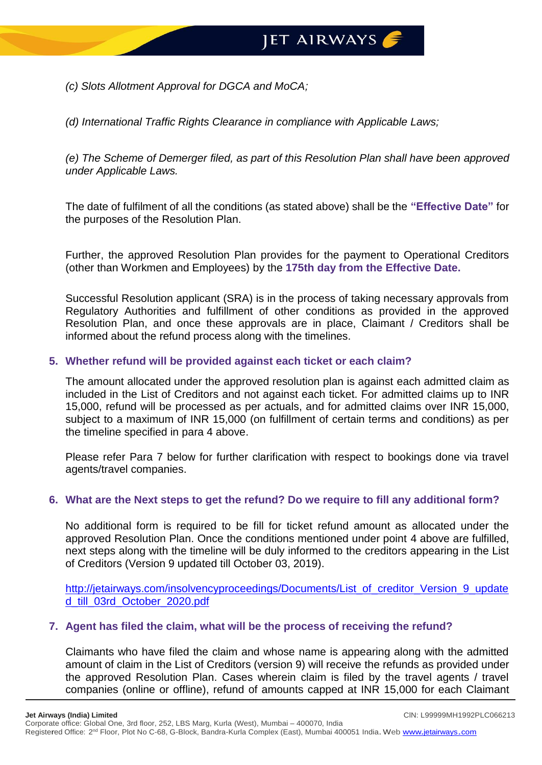*(c) Slots Allotment Approval for DGCA and MoCA;*

*(d) International Traffic Rights Clearance in compliance with Applicable Laws;*

*(e) The Scheme of Demerger filed, as part of this Resolution Plan shall have been approved under Applicable Laws.*

The date of fulfilment of all the conditions (as stated above) shall be the **"Effective Date"** for the purposes of the Resolution Plan.

Further, the approved Resolution Plan provides for the payment to Operational Creditors (other than Workmen and Employees) by the **175th day from the Effective Date.**

Successful Resolution applicant (SRA) is in the process of taking necessary approvals from Regulatory Authorities and fulfillment of other conditions as provided in the approved Resolution Plan, and once these approvals are in place, Claimant / Creditors shall be informed about the refund process along with the timelines.

## **5. Whether refund will be provided against each ticket or each claim?**

The amount allocated under the approved resolution plan is against each admitted claim as included in the List of Creditors and not against each ticket. For admitted claims up to INR 15,000, refund will be processed as per actuals, and for admitted claims over INR 15,000, subject to a maximum of INR 15,000 (on fulfillment of certain terms and conditions) as per the timeline specified in para 4 above.

Please refer Para 7 below for further clarification with respect to bookings done via travel agents/travel companies.

#### **6. What are the Next steps to get the refund? Do we require to fill any additional form?**

No additional form is required to be fill for ticket refund amount as allocated under the approved Resolution Plan. Once the conditions mentioned under point 4 above are fulfilled, next steps along with the timeline will be duly informed to the creditors appearing in the List of Creditors (Version 9 updated till October 03, 2019).

[http://jetairways.com/insolvencyproceedings/Documents/List\\_of\\_creditor\\_Version\\_9\\_update](http://jetairways.com/insolvencyproceedings/Documents/List_of_creditor_Version_9_updated_till_03rd_October_2020.pdf) [d\\_till\\_03rd\\_October\\_2020.pdf](http://jetairways.com/insolvencyproceedings/Documents/List_of_creditor_Version_9_updated_till_03rd_October_2020.pdf)

#### **7. Agent has filed the claim, what will be the process of receiving the refund?**

Claimants who have filed the claim and whose name is appearing along with the admitted amount of claim in the List of Creditors (version 9) will receive the refunds as provided under the approved Resolution Plan. Cases wherein claim is filed by the travel agents / travel companies (online or offline), refund of amounts capped at INR 15,000 for each Claimant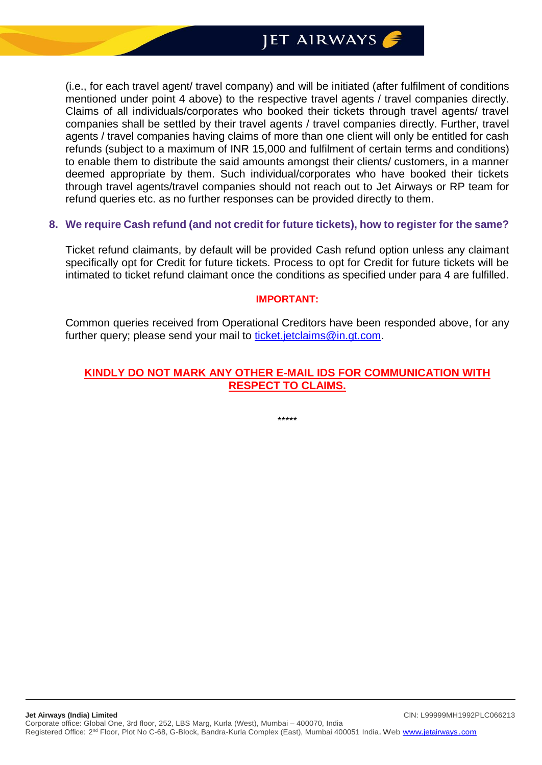(i.e., for each travel agent/ travel company) and will be initiated (after fulfilment of conditions mentioned under point 4 above) to the respective travel agents / travel companies directly. Claims of all individuals/corporates who booked their tickets through travel agents/ travel companies shall be settled by their travel agents / travel companies directly. Further, travel agents / travel companies having claims of more than one client will only be entitled for cash refunds (subject to a maximum of INR 15,000 and fulfilment of certain terms and conditions) to enable them to distribute the said amounts amongst their clients/ customers, in a manner deemed appropriate by them. Such individual/corporates who have booked their tickets through travel agents/travel companies should not reach out to Jet Airways or RP team for refund queries etc. as no further responses can be provided directly to them.

#### **8. We require Cash refund (and not credit for future tickets), how to register for the same?**

Ticket refund claimants, by default will be provided Cash refund option unless any claimant specifically opt for Credit for future tickets. Process to opt for Credit for future tickets will be intimated to ticket refund claimant once the conditions as specified under para 4 are fulfilled.

#### **IMPORTANT:**

Common queries received from Operational Creditors have been responded above, for any further query; please send your mail to [ticket.jetclaims@in.gt.com.](mailto:ticket.jetclaims@in.gt.com)

#### **KINDLY DO NOT MARK ANY OTHER E-MAIL IDS FOR COMMUNICATION WITH RESPECT TO CLAIMS.**

\*\*\*\*\*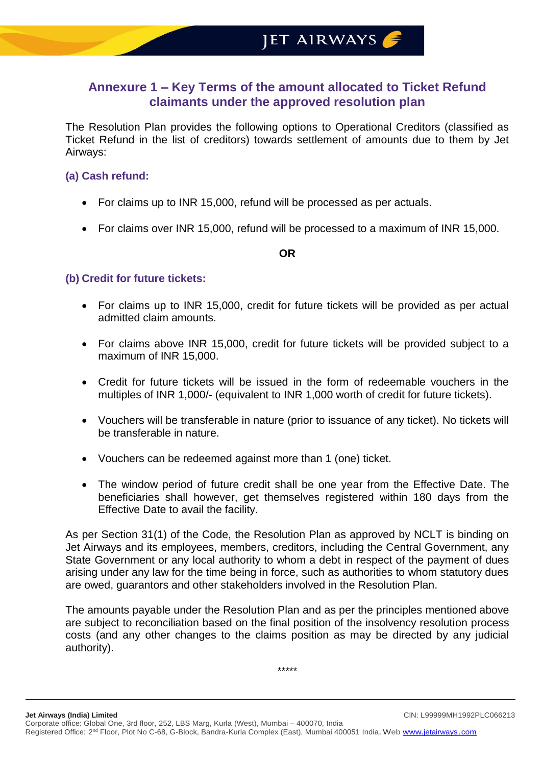## **Annexure 1 – Key Terms of the amount allocated to Ticket Refund claimants under the approved resolution plan**

The Resolution Plan provides the following options to Operational Creditors (classified as Ticket Refund in the list of creditors) towards settlement of amounts due to them by Jet Airways:

## **(a) Cash refund:**

- For claims up to INR 15,000, refund will be processed as per actuals.
- For claims over INR 15,000, refund will be processed to a maximum of INR 15,000.

#### **OR**

## **(b) Credit for future tickets:**

- For claims up to INR 15,000, credit for future tickets will be provided as per actual admitted claim amounts.
- For claims above INR 15,000, credit for future tickets will be provided subject to a maximum of INR 15,000.
- Credit for future tickets will be issued in the form of redeemable vouchers in the multiples of INR 1,000/- (equivalent to INR 1,000 worth of credit for future tickets).
- Vouchers will be transferable in nature (prior to issuance of any ticket). No tickets will be transferable in nature.
- Vouchers can be redeemed against more than 1 (one) ticket.
- The window period of future credit shall be one year from the Effective Date. The beneficiaries shall however, get themselves registered within 180 days from the Effective Date to avail the facility.

As per Section 31(1) of the Code, the Resolution Plan as approved by NCLT is binding on Jet Airways and its employees, members, creditors, including the Central Government, any State Government or any local authority to whom a debt in respect of the payment of dues arising under any law for the time being in force, such as authorities to whom statutory dues are owed, guarantors and other stakeholders involved in the Resolution Plan.

The amounts payable under the Resolution Plan and as per the principles mentioned above are subject to reconciliation based on the final position of the insolvency resolution process costs (and any other changes to the claims position as may be directed by any judicial authority).

\*\*\*\*\*